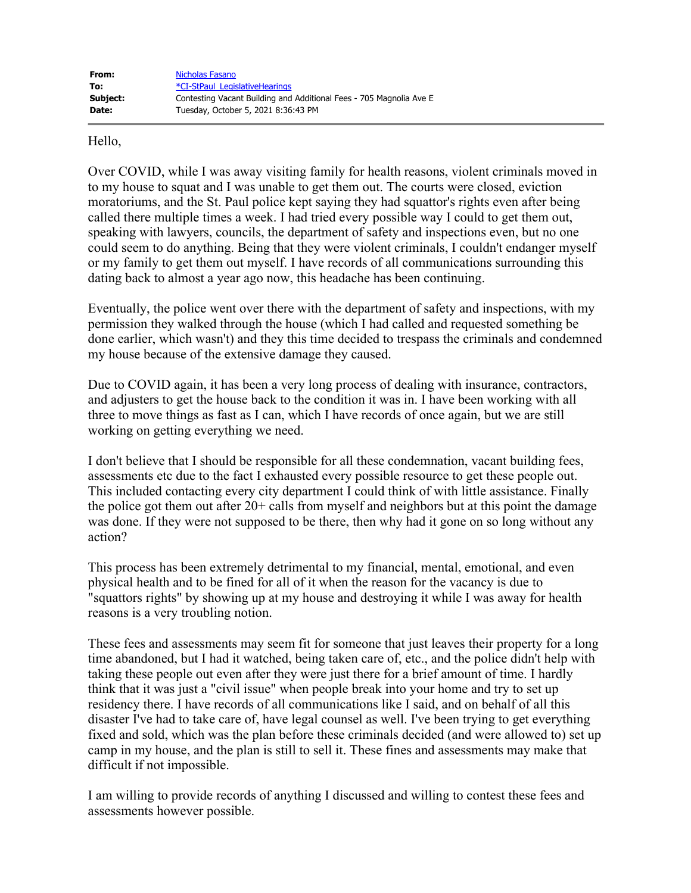Hello,

Over COVID, while I was away visiting family for health reasons, violent criminals moved in to my house to squat and I was unable to get them out. The courts were closed, eviction moratoriums, and the St. Paul police kept saying they had squattor's rights even after being called there multiple times a week. I had tried every possible way I could to get them out, speaking with lawyers, councils, the department of safety and inspections even, but no one could seem to do anything. Being that they were violent criminals, I couldn't endanger myself or my family to get them out myself. I have records of all communications surrounding this dating back to almost a year ago now, this headache has been continuing.

Eventually, the police went over there with the department of safety and inspections, with my permission they walked through the house (which I had called and requested something be done earlier, which wasn't) and they this time decided to trespass the criminals and condemned my house because of the extensive damage they caused.

Due to COVID again, it has been a very long process of dealing with insurance, contractors, and adjusters to get the house back to the condition it was in. I have been working with all three to move things as fast as I can, which I have records of once again, but we are still working on getting everything we need.

I don't believe that I should be responsible for all these condemnation, vacant building fees, assessments etc due to the fact I exhausted every possible resource to get these people out. This included contacting every city department I could think of with little assistance. Finally the police got them out after 20+ calls from myself and neighbors but at this point the damage was done. If they were not supposed to be there, then why had it gone on so long without any action?

This process has been extremely detrimental to my financial, mental, emotional, and even physical health and to be fined for all of it when the reason for the vacancy is due to "squattors rights" by showing up at my house and destroying it while I was away for health reasons is a very troubling notion.

These fees and assessments may seem fit for someone that just leaves their property for a long time abandoned, but I had it watched, being taken care of, etc., and the police didn't help with taking these people out even after they were just there for a brief amount of time. I hardly think that it was just a "civil issue" when people break into your home and try to set up residency there. I have records of all communications like I said, and on behalf of all this disaster I've had to take care of, have legal counsel as well. I've been trying to get everything fixed and sold, which was the plan before these criminals decided (and were allowed to) set up camp in my house, and the plan is still to sell it. These fines and assessments may make that difficult if not impossible.

I am willing to provide records of anything I discussed and willing to contest these fees and assessments however possible.